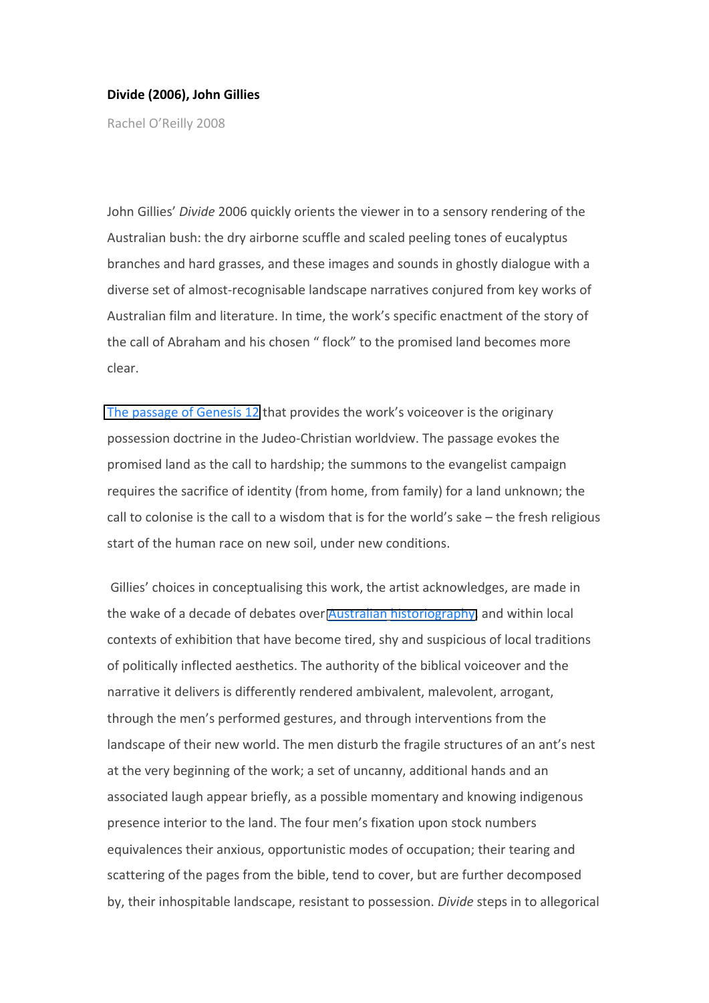## **Divide (2006), John Gillies**

Rachel O'Reilly 2008

John Gillies' *Divide* 2006 quickly orients the viewer in to a sensory rendering of the Australian bush: the dry airborne scuffle and scaled peeling tones of eucalyptus branches and hard grasses, and these images and sounds in ghostly dialogue with a diverse set of almost‐recognisable landscape narratives conjured from key works of Australian film and literature. In time, the work's specific enactment of the story of the call of Abraham and his chosen " flock" to the promised land becomes more clear.

[The passage of Genesis 12](http://www.biblegateway.com/passage/?search=Genesis%2012,%2015,%2022) that provides the work's voiceover is the originary possession doctrine in the Judeo‐Christian worldview. The passage evokes the promised land as the call to hardship; the summons to the evangelist campaign requires the sacrifice of identity (from home, from family) for a land unknown; the call to colonise is the call to a wisdom that is for the world's sake – the fresh religious start of the human race on new soil, under new conditions.

Gillies' choices in conceptualising this work, the artist acknowledges, are made in the wake of a decade of debates over Australian [historiography,](http://www.theage.com.au/news/national/pm-claims-victory-in-culture-wars/2006/01/25/1138066861163.html) and within local contexts of exhibition that have become tired, shy and suspicious of local traditions of politically inflected aesthetics. The authority of the biblical voiceover and the narrative it delivers is differently rendered ambivalent, malevolent, arrogant, through the men's performed gestures, and through interventions from the landscape of their new world. The men disturb the fragile structures of an ant's nest at the very beginning of the work; a set of uncanny, additional hands and an associated laugh appear briefly, as a possible momentary and knowing indigenous presence interior to the land. The four men's fixation upon stock numbers equivalences their anxious, opportunistic modes of occupation; their tearing and scattering of the pages from the bible, tend to cover, but are further decomposed by, their inhospitable landscape, resistant to possession. *Divide* steps in to allegorical